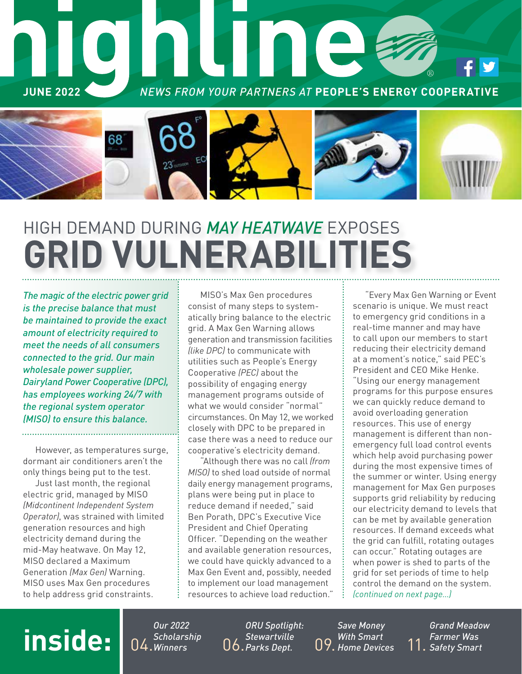

# HIGH DEMAND DURING *MAY HEATWAVE* EXPOSES **GRID VULNERABILITIES**

*The magic of the electric power grid is the precise balance that must be maintained to provide the exact amount of electricity required to meet the needs of all consumers connected to the grid. Our main wholesale power supplier, Dairyland Power Cooperative (DPC), has employees working 24/7 with the regional system operator (MISO) to ensure this balance.* 

However, as temperatures surge, dormant air conditioners aren't the only things being put to the test.

Just last month, the regional electric grid, managed by MISO *(Midcontinent Independent System Operator)*, was strained with limited generation resources and high electricity demand during the mid-May heatwave. On May 12, MISO declared a Maximum Generation *(Max Gen)* Warning. MISO uses Max Gen procedures to help address grid constraints.

MISO's Max Gen procedures consist of many steps to systematically bring balance to the electric grid. A Max Gen Warning allows generation and transmission facilities *(like DPC)* to communicate with utilities such as People's Energy Cooperative *(PEC)* about the possibility of engaging energy management programs outside of what we would consider "normal" circumstances. On May 12, we worked closely with DPC to be prepared in case there was a need to reduce our cooperative's electricity demand.

"Although there was no call *(from MISO)* to shed load outside of normal daily energy management programs, plans were being put in place to reduce demand if needed," said Ben Porath, DPC's Executive Vice President and Chief Operating Officer. "Depending on the weather and available generation resources, we could have quickly advanced to a Max Gen Event and, possibly, needed to implement our load management resources to achieve load reduction."

"Every Max Gen Warning or Event scenario is unique. We must react to emergency grid conditions in a real-time manner and may have to call upon our members to start reducing their electricity demand at a moment's notice," said PEC's President and CEO Mike Henke. "Using our energy management programs for this purpose ensures we can quickly reduce demand to avoid overloading generation resources. This use of energy management is different than nonemergency full load control events which help avoid purchasing power during the most expensive times of the summer or winter. Using energy management for Max Gen purposes supports grid reliability by reducing our electricity demand to levels that can be met by available generation resources. If demand exceeds what the grid can fulfill, rotating outages can occur." Rotating outages are when power is shed to parts of the grid for set periods of time to help control the demand on the system. *(continued on next page…)*

### **inside:** 04.

*Our 2022 Scholarship*  **nd** Schotars

*ORU Spotlight: Stewartville*   $06$ . Parks Dept.

*Save Money With Smart Home Devices* 11.

*Grand Meadow Farmer Was Safety Smart*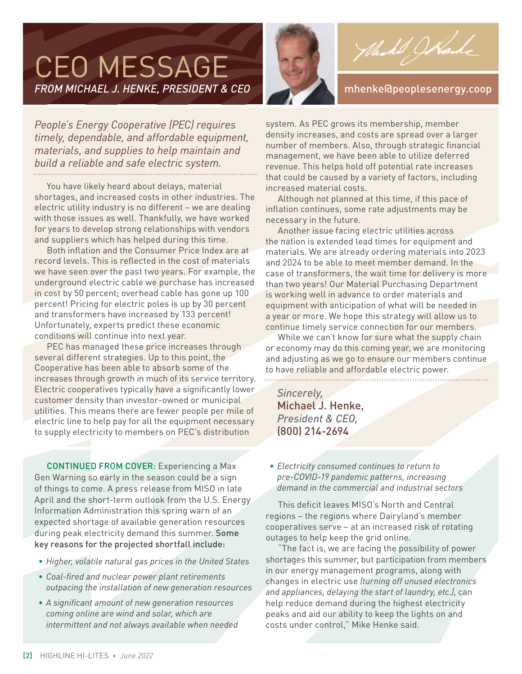### CEO MESSAGE *FROM MICHAEL J. HENKE, PRESIDENT & CEO* mhenke@peoplesenergy.coop



Wed Wood

*People's Energy Cooperative (PEC) requires timely, dependable, and affordable equipment, materials, and supplies to help maintain and build a reliable and safe electric system.* 

You have likely heard about delays, material shortages, and increased costs in other industries. The electric utility industry is no different – we are dealing with those issues as well. Thankfully, we have worked for years to develop strong relationships with vendors and suppliers which has helped during this time.

Both inflation and the Consumer Price Index are at record levels. This is reflected in the cost of materials we have seen over the past two years. For example, the underground electric cable we purchase has increased in cost by 50 percent; overhead cable has gone up 100 percent! Pricing for electric poles is up by 30 percent and transformers have increased by 133 percent! Unfortunately, experts predict these economic conditions will continue into next year.

PEC has managed these price increases through several different strategies. Up to this point, the Cooperative has been able to absorb some of the increases through growth in much of its service territory. Electric cooperatives typically have a significantly lower customer density than investor-owned or municipal utilities. This means there are fewer people per mile of electric line to help pay for all the equipment necessary to supply electricity to members on PEC's distribution

CONTINUED FROM COVER: Experiencing a Max Gen Warning so early in the season could be a sign of things to come. A press release from MISO in late April and the short-term outlook from the U.S. Energy Information Administration this spring warn of an expected shortage of available generation resources during peak electricity demand this summer. Some key reasons for the projected shortfall include:

- *• Higher, volatile natural gas prices in the United States*
- *• Coal-fired and nuclear power plant retirements outpacing the installation of new generation resources*
- *• A significant amount of new generation resources coming online are wind and solar, which are intermittent and not always available when needed*

system. As PEC grows its membership, member density increases, and costs are spread over a larger number of members. Also, through strategic financial management, we have been able to utilize deferred revenue. This helps hold off potential rate increases that could be caused by a variety of factors, including increased material costs.

Although not planned at this time, if this pace of inflation continues, some rate adjustments may be necessary in the future.

Another issue facing electric utilities across the nation is extended lead times for equipment and materials. We are already ordering materials into 2023 and 2024 to be able to meet member demand. In the case of transformers, the wait time for delivery is more than two years! Our Material Purchasing Department is working well in advance to order materials and equipment with anticipation of what will be needed in a year or more. We hope this strategy will allow us to continue timely service connection for our members.

While we can't know for sure what the supply chain or economy may do this coming year, we are monitoring and adjusting as we go to ensure our members continue to have reliable and affordable electric power.

*Sincerely,*  Michael J. Henke, *President & CEO,*  (800) 214-2694

*• Electricity consumed continues to return to pre-COVID-19 pandemic patterns, increasing demand in the commercial and industrial sectors*

This deficit leaves MISO's North and Central regions – the regions where Dairyland's member cooperatives serve – at an increased risk of rotating outages to help keep the grid online.

"The fact is, we are facing the possibility of power shortages this summer, but participation from members in our energy management programs, along with changes in electric use *(turning off unused electronics and appliances, delaying the start of laundry, etc.)*, can help reduce demand during the highest electricity peaks and aid our ability to keep the lights on and costs under control," Mike Henke said.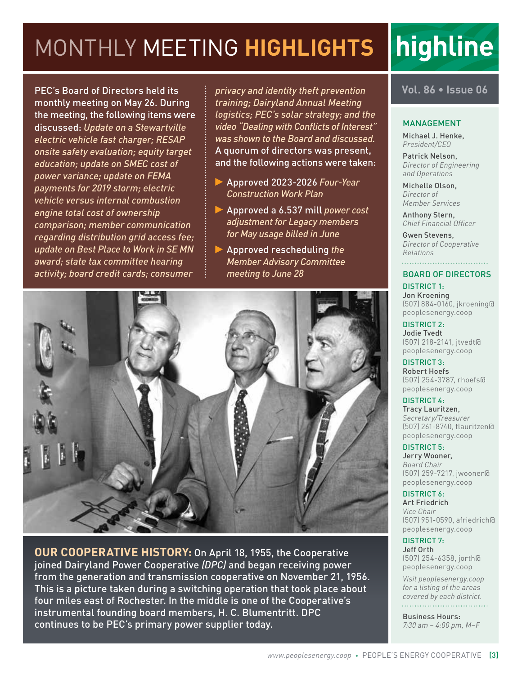### MONTHLY MEETING **HIGHLIGHTS**

PEC's Board of Directors held its monthly meeting on May 26. During the meeting, the following items were discussed: *Update on a Stewartville electric vehicle fast charger; RESAP onsite safety evaluation; equity target education; update on SMEC cost of power variance; update on FEMA payments for 2019 storm; electric vehicle versus internal combustion engine total cost of ownership comparison; member communication regarding distribution grid access fee; update on Best Place to Work in SE MN award; state tax committee hearing activity; board credit cards; consumer* 

*privacy and identity theft prevention training; Dairyland Annual Meeting logistics; PEC's solar strategy; and the video "Dealing with Conflicts of Interest" was shown to the Board and discussed.*  A quorum of directors was present, and the following actions were taken:

- Approved 2023-2026 *Four-Year Construction Work Plan*
- Approved a 6.537 mill *power cost adjustment for Legacy members for May usage billed in June*
- Approved rescheduling *the Member Advisory Committee meeting to June 28*



highline

#### MANAGEMENT

Michael J. Henke, *President/CEO*

Patrick Nelson, *Director of Engineering and Operations*

Michelle Olson, *Director of Member Services*

Anthony Stern, *Chief Financial Officer*

Gwen Stevens, *Director of Cooperative Relations*

#### BOARD OF DIRECTORS

DISTRICT 1: Jon Kroening (507) 884-0160, jkroening@ peoplesenergy.coop

DISTRICT 2: Jodie Tvedt (507) 218-2141, jtvedt@ peoplesenergy.coop

DISTRICT 3: Robert Hoefs (507) 254-3787, rhoefs@ peoplesenergy.coop

#### DISTRICT 4:

Tracy Lauritzen, *Secretary/Treasurer* (507) 261-8740, tlauritzen@ peoplesenergy.coop

DISTRICT 5:

Jerry Wooner, *Board Chair* (507) 259-7217, jwooner@ peoplesenergy.coop

DISTRICT 6: Art Friedrich

*Vice Chair* (507) 951-0590, afriedrich@ peoplesenergy.coop

#### DISTRICT 7:

Jeff Orth (507) 254-6358, jorth@ peoplesenergy.coop

*Visit peoplesenergy.coop for a listing of the areas covered by each district.* 

Business Hours: *7:30 am – 4:00 pm, M–F*



**OUR COOPERATIVE HISTORY:** On April 18, 1955, the Cooperative joined Dairyland Power Cooperative *(DPC)* and began receiving power from the generation and transmission cooperative on November 21, 1956. This is a picture taken during a switching operation that took place about four miles east of Rochester. In the middle is one of the Cooperative's instrumental founding board members, H. C. Blumentritt. DPC continues to be PEC's primary power supplier today.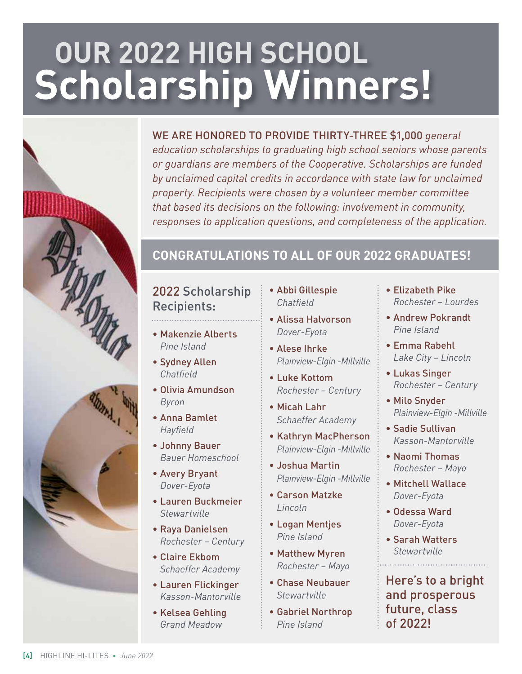# **OUR 2022 HIGH SCHOOL Scholarship Winners!**

#### WE ARE HONORED TO PROVIDE THIRTY-THREE \$1,000 *general*

*education scholarships to graduating high school seniors whose parents or guardians are members of the Cooperative. Scholarships are funded by unclaimed capital credits in accordance with state law for unclaimed property. Recipients were chosen by a volunteer member committee that based its decisions on the following: involvement in community, responses to application questions, and completeness of the application.* 

#### **CONGRATULATIONS TO ALL OF OUR 2022 GRADUATES!**

#### 2022 Scholarship Recipients:

- Makenzie Alberts *Pine Island*
- Sydney Allen *Chatfield*
- Olivia Amundson *Byron*
- Anna Bamlet *Hayfield*
- Johnny Bauer *Bauer Homeschool*
- Avery Bryant *Dover-Eyota*
- Lauren Buckmeier *Stewartville*
- Raya Danielsen *Rochester – Century*
- Claire Ekbom *Schaeffer Academy*
- Lauren Flickinger *Kasson-Mantorville*
- Kelsea Gehling *Grand Meadow*
- Abbi Gillespie *Chatfield*
- Alissa Halvorson *Dover-Eyota*
- Alese Ihrke *Plainview-Elgin -Millville*
- Luke Kottom *Rochester – Century*
- Micah Lahr *Schaeffer Academy*
- Kathryn MacPherson *Plainview-Elgin -Millville*
- Joshua Martin *Plainview-Elgin -Millville*
- Carson Matzke *Lincoln*
- Logan Mentjes *Pine Island*
- Matthew Myren *Rochester – Mayo*
- Chase Neubauer *Stewartville*
- Gabriel Northrop *Pine Island*
- Elizabeth Pike *Rochester – Lourdes*
- Andrew Pokrandt *Pine Island*
- Emma Rabehl *Lake City – Lincoln*
- Lukas Singer *Rochester – Century*
- Milo Snyder *Plainview-Elgin -Millville*
- Sadie Sullivan *Kasson-Mantorville*
- Naomi Thomas *Rochester – Mayo*
- Mitchell Wallace *Dover-Eyota*
- Odessa Ward *Dover-Eyota*
- Sarah Watters *Stewartville*

Here's to a bright and prosperous future, class of 2022!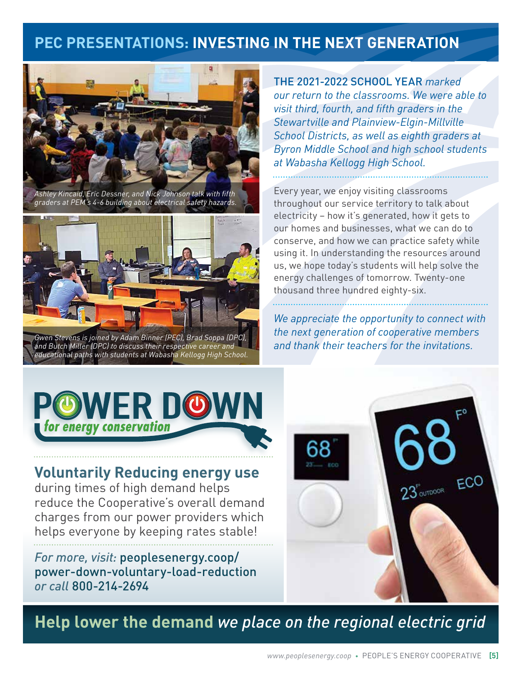#### **PEC PRESENTATIONS: INVESTING IN THE NEXT GENERATION**



*Ashley Kincaid, Eric Dessner, and Nick Johnson talk with fifth graders at PEM's 4-6 building about electrical safety hazards.*



*Gwen Stevens is joined by Adam Binner (PEC), Brad Soppa (DPC), and Butch Miller (DPC) to discuss their respective career and educational paths with students at Wabasha Kellogg High School.* 

THE 2021-2022 SCHOOL YEAR *marked our return to the classrooms. We were able to visit third, fourth, and fifth graders in the Stewartville and Plainview-Elgin-Millville School Districts, as well as eighth graders at Byron Middle School and high school students at Wabasha Kellogg High School.* 

Every year, we enjoy visiting classrooms throughout our service territory to talk about electricity – how it's generated, how it gets to our homes and businesses, what we can do to conserve, and how we can practice safety while using it. In understanding the resources around us, we hope today's students will help solve the energy challenges of tomorrow. Twenty-one thousand three hundred eighty-six.

*We appreciate the opportunity to connect with the next generation of cooperative members and thank their teachers for the invitations.*



#### **Voluntarily Reducing energy use**

during times of high demand helps reduce the Cooperative's overall demand charges from our power providers which helps everyone by keeping rates stable!

*For more, visit:* peoplesenergy.coop/ power-down-voluntary-load-reduction *or call* 800-214-2694

**Help lower the demand** *we place on the regional electric grid*

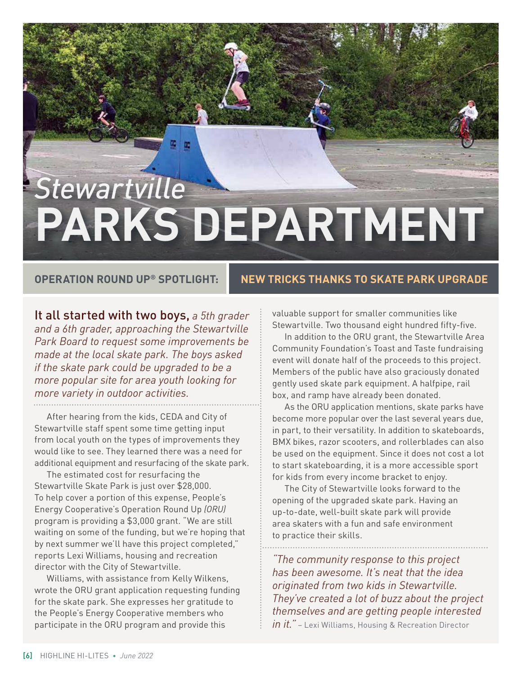# *Stewartville*  **PARKS DEPARTMENT**

#### **OPERATION ROUND UP® SPOTLIGHT: NEW TRICKS THANKS TO SKATE PARK UPGRADE**

It all started with two boys, *a 5th grader and a 6th grader, approaching the Stewartville Park Board to request some improvements be made at the local skate park. The boys asked if the skate park could be upgraded to be a more popular site for area youth looking for more variety in outdoor activities.*

After hearing from the kids, CEDA and City of Stewartville staff spent some time getting input from local youth on the types of improvements they would like to see. They learned there was a need for additional equipment and resurfacing of the skate park.

The estimated cost for resurfacing the Stewartville Skate Park is just over \$28,000. To help cover a portion of this expense, People's Energy Cooperative's Operation Round Up *(ORU)* program is providing a \$3,000 grant. "We are still waiting on some of the funding, but we're hoping that by next summer we'll have this project completed," reports Lexi Williams, housing and recreation director with the City of Stewartville.

Williams, with assistance from Kelly Wilkens, wrote the ORU grant application requesting funding for the skate park. She expresses her gratitude to the People's Energy Cooperative members who participate in the ORU program and provide this

valuable support for smaller communities like Stewartville. Two thousand eight hundred fifty-five.

In addition to the ORU grant, the Stewartville Area Community Foundation's Toast and Taste fundraising event will donate half of the proceeds to this project. Members of the public have also graciously donated gently used skate park equipment. A halfpipe, rail box, and ramp have already been donated.

As the ORU application mentions, skate parks have become more popular over the last several years due, in part, to their versatility. In addition to skateboards, BMX bikes, razor scooters, and rollerblades can also be used on the equipment. Since it does not cost a lot to start skateboarding, it is a more accessible sport for kids from every income bracket to enjoy.

The City of Stewartville looks forward to the opening of the upgraded skate park. Having an up-to-date, well-built skate park will provide area skaters with a fun and safe environment to practice their skills.

*"The community response to this project has been awesome. It's neat that the idea originated from two kids in Stewartville. They've created a lot of buzz about the project themselves and are getting people interested in it."* – Lexi Williams, Housing & Recreation Director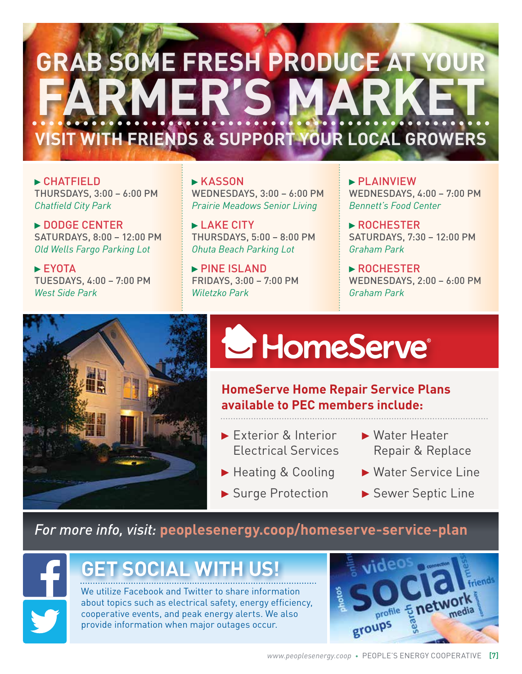# **GRAB SOME FRESH PRODUCE AT YOUR FARMER'S MARKET VISIT WITH FRIENDS & SUPPORT YOUR LOCAL GROWERS**

 CHATFIELD THURSDAYS, 3:00 – 6:00 PM *Chatfield City Park*

DODGE CENTER SATURDAYS, 8:00 – 12:00 PM *Old Wells Fargo Parking Lot*

 $\blacktriangleright$  EYOTA TUESDAYS, 4:00 – 7:00 PM *West Side Park*

**KASSON** WEDNESDAYS, 3:00 – 6:00 PM *Prairie Meadows Senior Living*

**LAKE CITY** THURSDAYS, 5:00 – 8:00 PM *Ohuta Beach Parking Lot*

▶ PINE ISLAND FRIDAYS, 3:00 – 7:00 PM *Wiletzko Park*

 PLAINVIEW WEDNESDAYS, 4:00 – 7:00 PM *Bennett's Food Center*

**ROCHESTER** SATURDAYS, 7:30 – 12:00 PM *Graham Park*

▶ ROCHESTER WEDNESDAYS, 2:00 – 6:00 PM *Graham Park*



# HomeServe®

**HomeServe Home Repair Service Plans available to PEC members include:**

- Exterior & Interior Electrical Services
- ▶ Heating & Cooling
- ▶ Surge Protection
- ▶ Water Heater Repair & Replace
- ▶ Water Service Line
- Sewer Septic Line

#### *For more info, visit:* **peoplesenergy.coop/homeserve-service-plan**



### **GET SOCIAL WITH US!**

We utilize Facebook and Twitter to share information about topics such as electrical safety, energy efficiency, cooperative events, and peak energy alerts. We also provide information when major outages occur.

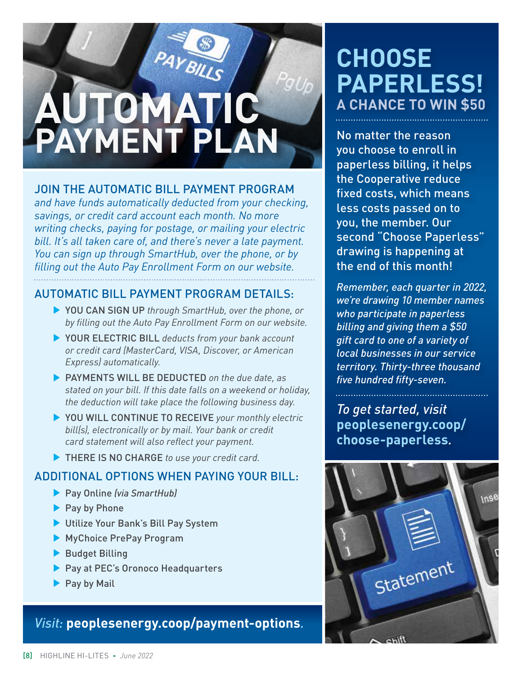# PAYBILLS **AUTOMATIC PAYMENT PLAN**

#### JOIN THE AUTOMATIC BILL PAYMENT PROGRAM

*and have funds automatically deducted from your checking, savings, or credit card account each month. No more writing checks, paying for postage, or mailing your electric bill. It's all taken care of, and there's never a late payment. You can sign up through SmartHub, over the phone, or by filling out the Auto Pay Enrollment Form on our website.*

#### AUTOMATIC BILL PAYMENT PROGRAM DETAILS:

- YOU CAN SIGN UP *through SmartHub, over the phone, or by filling out the Auto Pay Enrollment Form on our website.*
- YOUR ELECTRIC BILL *deducts from your bank account or credit card (MasterCard, VISA, Discover, or American Express) automatically.*
- PAYMENTS WILL BE DEDUCTED *on the due date, as stated on your bill. If this date falls on a weekend or holiday, the deduction will take place the following business day.*
- ▶ YOU WILL CONTINUE TO RECEIVE your monthly electric *bill(s), electronically or by mail. Your bank or credit card statement will also reflect your payment.*
- THERE IS NO CHARGE *to use your credit card.*

#### ADDITIONAL OPTIONS WHEN PAYING YOUR BILL:

- Pay Online *(via SmartHub)*
- ▶ Pay by Phone
- Utilize Your Bank's Bill Pay System
- MyChoice PrePay Program
- Budget Billing
- Pay at PEC's Oronoco Headquarters
- $\blacktriangleright$  Pay by Mail

*Visit:* **peoplesenergy.coop/payment-options***.*

### **CHOOSE PAPERLESS! A CHANCE TO WIN \$50**

No matter the reason you choose to enroll in paperless billing, it helps the Cooperative reduce fixed costs, which means less costs passed on to you, the member. Our second "Choose Paperless" drawing is happening at the end of this month!

*Remember, each quarter in 2022, we're drawing 10 member names who participate in paperless billing and giving them a \$50 gift card to one of a variety of local businesses in our service territory. Thirty-three thousand five hundred fifty-seven.*

*To get started, visit* **peoplesenergy.coop/ choose-paperless***.*

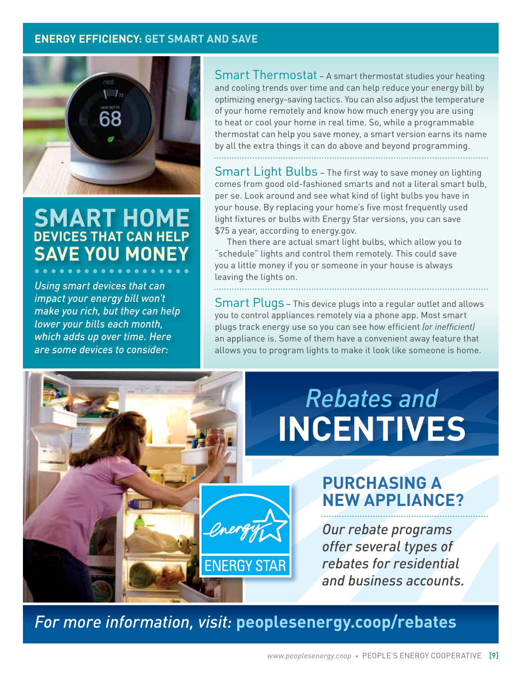#### **ENERGY EFFICIENCY: GET SMART AND SAVE**



#### **SMART HOME DEVICES THAT CAN HELP SAVE YOU MONEY**

*Using smart devices that can impact your energy bill won't make you rich, but they can help lower your bills each month, which adds up over time. Here are some devices to consider:*

Smart Thermostat – A smart thermostat studies your heating and cooling trends over time and can help reduce your energy bill by optimizing energy-saving tactics. You can also adjust the temperature of your home remotely and know how much energy you are using to heat or cool your home in real time. So, while a programmable thermostat can help you save money, a smart version earns its name by all the extra things it can do above and beyond programming.

Smart Light Bulbs - The first way to save money on lighting comes from good old-fashioned smarts and not a literal smart bulb, per se. Look around and see what kind of light bulbs you have in your house. By replacing your home's five most frequently used light fixtures or bulbs with Energy Star versions, you can save

Then there are actual smart light bulbs, which allow you to "schedule" lights and control them remotely. This could save you a little money if you or someone in your house is always leaving the lights on.

\$75 a year, according to energy.gov.

Smart Plugs - This device plugs into a regular outlet and allows you to control appliances remotely via a phone app. Most smart plugs track energy use so you can see how efficient *(or inefficient)* an appliance is. Some of them have a convenient away feature that allows you to program lights to make it look like someone is home.

### *Rebates and* **INCENTIVES**

#### **PURCHASING A NEW APPLIANCE?**

*Our rebate programs offer several types of rebates for residential and business accounts.*

*For more information, visit:* **peoplesenergy.coop/rebates**

**ENERGY STAR**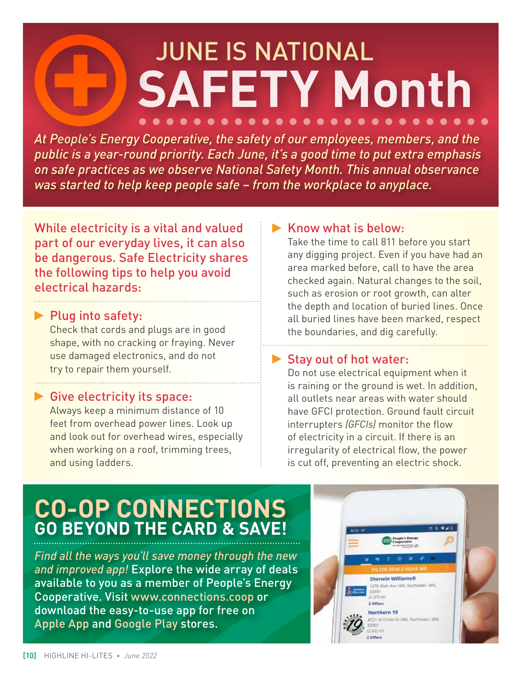### JUNE IS NATIONAL **SAFETY Month**  $0 0 0 0 0 0 0 0 0 0 0 0 0$

*At People's Energy Cooperative, the safety of our employees, members, and the public is a year-round priority. Each June, it's a good time to put extra emphasis on safe practices as we observe National Safety Month. This annual observance was started to help keep people safe – from the workplace to anyplace.*

While electricity is a vital and valued part of our everyday lives, it can also be dangerous. Safe Electricity shares the following tips to help you avoid electrical hazards:

#### $\blacktriangleright$  Plug into safety:

Check that cords and plugs are in good shape, with no cracking or fraying. Never use damaged electronics, and do not try to repair them yourself.

#### Give electricity its space:

Always keep a minimum distance of 10 feet from overhead power lines. Look up and look out for overhead wires, especially when working on a roof, trimming trees, and using ladders.

#### $\blacktriangleright$  Know what is below:

Take the time to call 811 before you start any digging project. Even if you have had an area marked before, call to have the area checked again. Natural changes to the soil, such as erosion or root growth, can alter the depth and location of buried lines. Once all buried lines have been marked, respect the boundaries, and dig carefully.

#### Stay out of hot water:

Do not use electrical equipment when it is raining or the ground is wet. In addition, all outlets near areas with water should have GFCI protection. Ground fault circuit interrupters *(GFCIs)* monitor the flow of electricity in a circuit. If there is an irregularity of electrical flow, the power is cut off, preventing an electric shock.

### **CO-OP CONNECTIONS GO BEYOND THE CARD & SAVE!**

*Find all the ways you'll save money through the new and improved app!* Explore the wide array of deals available to you as a member of People's Energy Cooperative. Visit www.connections.coop or download the easy-to-use app for free on Apple App and Google Play stores.

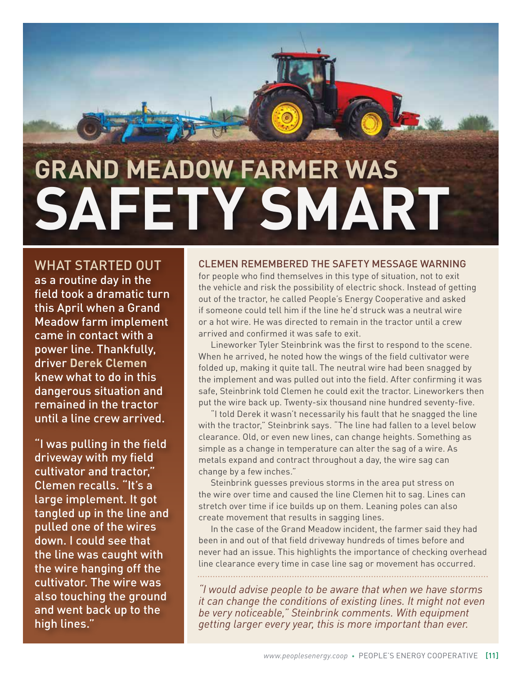# **GRAND MEADOW FARMER WAS SAFETY SMART**

WHAT STARTED OUT as a routine day in the field took a dramatic turn this April when a Grand Meadow farm implement came in contact with a power line. Thankfully, driver **Derek Clemen** knew what to do in this dangerous situation and remained in the tractor until a line crew arrived.

"I was pulling in the field driveway with my field cultivator and tractor," Clemen recalls. "It's a large implement. It got tangled up in the line and pulled one of the wires down. I could see that the line was caught with the wire hanging off the cultivator. The wire was also touching the ground and went back up to the high lines."

#### CLEMEN REMEMBERED THE SAFETY MESSAGE WARNING

for people who find themselves in this type of situation, not to exit the vehicle and risk the possibility of electric shock. Instead of getting out of the tractor, he called People's Energy Cooperative and asked if someone could tell him if the line he'd struck was a neutral wire or a hot wire. He was directed to remain in the tractor until a crew arrived and confirmed it was safe to exit.

Lineworker Tyler Steinbrink was the first to respond to the scene. When he arrived, he noted how the wings of the field cultivator were folded up, making it quite tall. The neutral wire had been snagged by the implement and was pulled out into the field. After confirming it was safe, Steinbrink told Clemen he could exit the tractor. Lineworkers then put the wire back up. Twenty-six thousand nine hundred seventy-five.

"I told Derek it wasn't necessarily his fault that he snagged the line with the tractor," Steinbrink says. "The line had fallen to a level below clearance. Old, or even new lines, can change heights. Something as simple as a change in temperature can alter the sag of a wire. As metals expand and contract throughout a day, the wire sag can change by a few inches."

Steinbrink guesses previous storms in the area put stress on the wire over time and caused the line Clemen hit to sag. Lines can stretch over time if ice builds up on them. Leaning poles can also create movement that results in sagging lines.

In the case of the Grand Meadow incident, the farmer said they had been in and out of that field driveway hundreds of times before and never had an issue. This highlights the importance of checking overhead line clearance every time in case line sag or movement has occurred.

*"I would advise people to be aware that when we have storms it can change the conditions of existing lines. It might not even be very noticeable," Steinbrink comments. With equipment getting larger every year, this is more important than ever.*